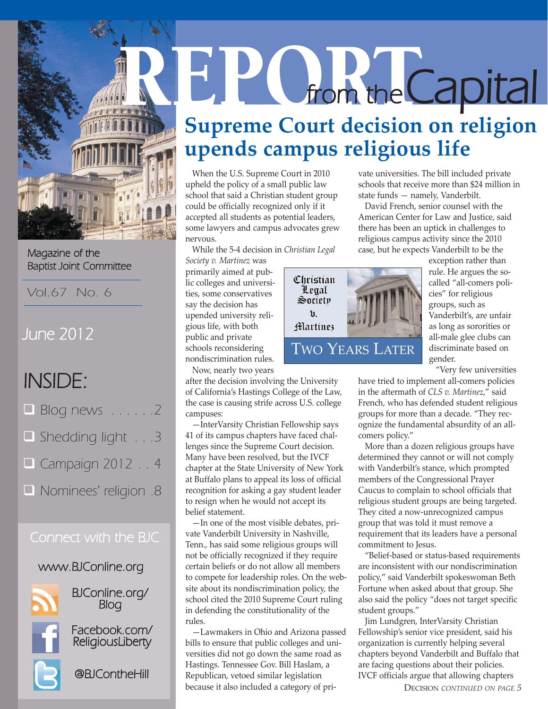

Magazine of the Baptist Joint Committee

Vol.67 No. 6

# June 2012

# INSIDE:

| $\Box$ Blog news $\ldots \ldots 2$ |
|------------------------------------|
| Shedding light 3                   |
| $\Box$ Campaign 2012 4             |
| Nominees' religion .8              |

# Connect with the BJC

## www.BJConline.org



BJConline.org/ Blog

Facebook.com/ ReligiousLiberty



@BJContheHill

# **REPORT from the Capital Supreme Court decision on religion upends campus religious life**

When the U.S. Supreme Court in 2010 upheld the policy of a small public law school that said a Christian student group could be officially recognized only if it accepted all students as potential leaders, some lawyers and campus advocates grew nervous.

While the 5-4 decision in *Christian Legal*

*Society v. Martinez* was primarily aimed at public colleges and universities, some conservatives say the decision has upended university religious life, with both public and private schools reconsidering nondiscrimination rules. Now, nearly two years

after the decision involving the University of California's Hastings College of the Law, the case is causing strife across U.S. college campuses:

—InterVarsity Christian Fellowship says 41 of its campus chapters have faced challenges since the Supreme Court decision. Many have been resolved, but the IVCF chapter at the State University of New York at Buffalo plans to appeal its loss of official recognition for asking a gay student leader to resign when he would not accept its belief statement.

—In one of the most visible debates, private Vanderbilt University in Nashville, Tenn., has said some religious groups will not be officially recognized if they require certain beliefs or do not allow all members to compete for leadership roles. On the website about its nondiscrimination policy, the school cited the 2010 Supreme Court ruling in defending the constitutionality of the rules.

—Lawmakers in Ohio and Arizona passed bills to ensure that public colleges and universities did not go down the same road as Hastings. Tennessee Gov. Bill Haslam, a Republican, vetoed similar legislation because it also included a category of private universities. The bill included private schools that receive more than \$24 million in state funds — namely, Vanderbilt.

David French, senior counsel with the American Center for Law and Justice, said there has been an uptick in challenges to religious campus activity since the 2010 case, but he expects Vanderbilt to be the



exception rather than rule. He argues the socalled "all-comers policies" for religious groups, such as Vanderbilt's, are unfair as long as sororities or all-male glee clubs can discriminate based on gender.

"Very few universities

have tried to implement all-comers policies in the aftermath of *CLS v. Martinez*," said French, who has defended student religious groups for more than a decade. "They recognize the fundamental absurdity of an allcomers policy."

More than a dozen religious groups have determined they cannot or will not comply with Vanderbilt's stance, which prompted members of the Congressional Prayer Caucus to complain to school officials that religious student groups are being targeted. They cited a now-unrecognized campus group that was told it must remove a requirement that its leaders have a personal commitment to Jesus.

"Belief-based or status-based requirements are inconsistent with our nondiscrimination policy," said Vanderbilt spokeswoman Beth Fortune when asked about that group. She also said the policy "does not target specific student groups."

Jim Lundgren, InterVarsity Christian Fellowship's senior vice president, said his organization is currently helping several chapters beyond Vanderbilt and Buffalo that are facing questions about their policies. IVCF officials argue that allowing chapters

DECISION *CONTINUED ON PAGE 5*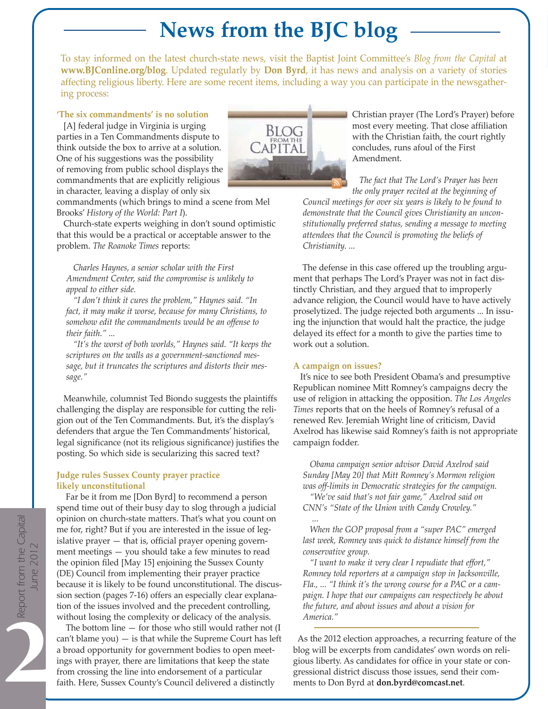# **News from the BJC blog**

To stay informed on the latest church-state news, visit the Baptist Joint Committee's *Blog from the Capital* at **www.BJConline.org/blog**. Updated regularly by **Don Byrd**, it has news and analysis on a variety of stories affecting religious liberty. Here are some recent items, including a way you can participate in the newsgathering process:

**'The six commandments' is no solution**

[A] federal judge in Virginia is urging parties in a Ten Commandments dispute to think outside the box to arrive at a solution. One of his suggestions was the possibility of removing from public school displays the commandments that are explicitly religious in character, leaving a display of only six



commandments (which brings to mind a scene from Mel Brooks' *History of the World: Part I*).

Church-state experts weighing in don't sound optimistic that this would be a practical or acceptable answer to the problem. *The Roanoke Times* reports:

*Charles Haynes, a senior scholar with the First Amendment Center, said the compromise is unlikely to appeal to either side.*

*"I don't think it cures the problem," Haynes said. "In fact, it may make it worse, because for many Christians, to somehow edit the commandments would be an offense to their faith." ...* 

*"It's the worst of both worlds," Haynes said. "It keeps the scriptures on the walls as a government-sanctioned message, but it truncates the scriptures and distorts their message."*

Meanwhile, columnist Ted Biondo suggests the plaintiffs challenging the display are responsible for cutting the religion out of the Ten Commandments. But, it's the display's defenders that argue the Ten Commandments' historical, legal significance (not its religious significance) justifies the posting. So which side is secularizing this sacred text?

### **Judge rules Sussex County prayer practice likely unconstitutional**

Far be it from me [Don Byrd] to recommend a person spend time out of their busy day to slog through a judicial opinion on church-state matters. That's what you count on me for, right? But if you are interested in the issue of legislative prayer — that is, official prayer opening government meetings — you should take a few minutes to read the opinion filed [May 15] enjoining the Sussex County (DE) Council from implementing their prayer practice because it is likely to be found unconstitutional. The discussion section (pages 7-16) offers an especially clear explanation of the issues involved and the precedent controlling, without losing the complexity or delicacy of the analysis.

The bottom line  $-$  for those who still would rather not  $(I)$  $can't$  blame  $you$   $-$  is that while the Supreme Court has left a broad opportunity for government bodies to open meetings with prayer, there are limitations that keep the state from crossing the line into endorsement of a particular faith. Here, Sussex County's Council delivered a distinctly

Christian prayer (The Lord's Prayer) before most every meeting. That close affiliation with the Christian faith, the court rightly concludes, runs afoul of the First Amendment.

*The fact that The Lord's Prayer has been the only prayer recited at the beginning of*

*Council meetings for over six years is likely to be found to demonstrate that the Council gives Christianity an unconstitutionally preferred status, sending a message to meeting attendees that the Council is promoting the beliefs of Christianity. ...*

The defense in this case offered up the troubling argument that perhaps The Lord's Prayer was not in fact distinctly Christian, and they argued that to improperly advance religion, the Council would have to have actively proselytized. The judge rejected both arguments ... In issuing the injunction that would halt the practice, the judge delayed its effect for a month to give the parties time to work out a solution.

### **A campaign on issues?**

It's nice to see both President Obama's and presumptive Republican nominee Mitt Romney's campaigns decry the use of religion in attacking the opposition. *The Los Angeles Times* reports that on the heels of Romney's refusal of a renewed Rev. Jeremiah Wright line of criticism, David Axelrod has likewise said Romney's faith is not appropriate campaign fodder.

*Obama campaign senior advisor David Axelrod said Sunday [May 20] that Mitt Romney's Mormon religion was off-limits in Democratic strategies for the campaign.*

*"We've said that's not fair game," Axelrod said on CNN's "State of the Union with Candy Crowley."*

*... When the GOP proposal from a "super PAC" emerged last week, Romney was quick to distance himself from the conservative group.*

*"I want to make it very clear I repudiate that effort," Romney told reporters at a campaign stop in Jacksonville, Fla., ... "I think it's the wrong course for a PAC or a campaign. I hope that our campaigns can respectively be about the future, and about issues and about a vision for America."* 

As the 2012 election approaches, a recurring feature of the blog will be excerpts from candidates' own words on religious liberty. As candidates for office in your state or congressional district discuss those issues, send their comments to Don Byrd at **don.byrd@comcast.net**.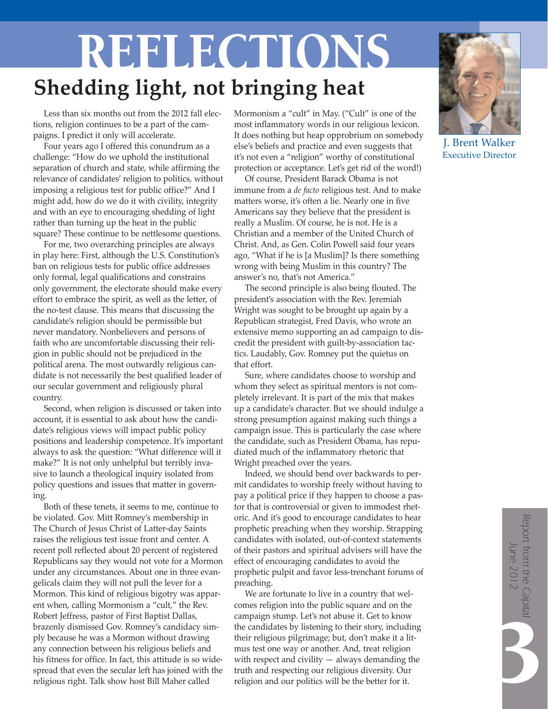# **Shedding light, not bringing heat** REFLECTIONS

Less than six months out from the 2012 fall elections, religion continues to be a part of the campaigns. I predict it only will accelerate.

Four years ago I offered this conundrum as a challenge: "How do we uphold the institutional separation of church and state, while affirming the relevance of candidates' religion to politics, without imposing a religious test for public office?" And I might add, how do we do it with civility, integrity and with an eye to encouraging shedding of light rather than turning up the heat in the public square? These continue to be nettlesome questions.

For me, two overarching principles are always in play here: First, although the U.S. Constitution's ban on religious tests for public office addresses only formal, legal qualifications and constrains only government, the electorate should make every effort to embrace the spirit, as well as the letter, of the no-test clause. This means that discussing the candidate's religion should be permissible but never mandatory. Nonbelievers and persons of faith who are uncomfortable discussing their religion in public should not be prejudiced in the political arena. The most outwardly religious candidate is not necessarily the best qualified leader of our secular government and religiously plural country.

Second, when religion is discussed or taken into account, it is essential to ask about how the candidate's religious views will impact public policy positions and leadership competence. It's important always to ask the question: "What difference will it make?" It is not only unhelpful but terribly invasive to launch a theological inquiry isolated from policy questions and issues that matter in governing.

Both of these tenets, it seems to me, continue to be violated. Gov. Mitt Romney's membership in The Church of Jesus Christ of Latter-day Saints raises the religious test issue front and center. A recent poll reflected about 20 percent of registered Republicans say they would not vote for a Mormon under any circumstances. About one in three evangelicals claim they will not pull the lever for a Mormon. This kind of religious bigotry was apparent when, calling Mormonism a "cult," the Rev. Robert Jeffress, pastor of First Baptist Dallas, brazenly dismissed Gov. Romney's candidacy simply because he was a Mormon without drawing any connection between his religious beliefs and his fitness for office. In fact, this attitude is so widespread that even the secular left has joined with the religious right. Talk show host Bill Maher called

Mormonism a "cult" in May. ("Cult" is one of the most inflammatory words in our religious lexicon. It does nothing but heap opprobrium on somebody else's beliefs and practice and even suggests that it's not even a "religion" worthy of constitutional protection or acceptance. Let's get rid of the word!)

Of course, President Barack Obama is not immune from a *de facto* religious test. And to make matters worse, it's often a lie. Nearly one in five Americans say they believe that the president is really a Muslim. Of course, he is not. He is a Christian and a member of the United Church of Christ. And, as Gen. Colin Powell said four years ago, "What if he is [a Muslim]? Is there something wrong with being Muslim in this country? The answer's no, that's not America."

The second principle is also being flouted. The president's association with the Rev. Jeremiah Wright was sought to be brought up again by a Republican strategist, Fred Davis, who wrote an extensive memo supporting an ad campaign to discredit the president with guilt-by-association tactics. Laudably, Gov. Romney put the quietus on that effort.

Sure, where candidates choose to worship and whom they select as spiritual mentors is not completely irrelevant. It is part of the mix that makes up a candidate's character. But we should indulge a strong presumption against making such things a campaign issue. This is particularly the case where the candidate, such as President Obama, has repudiated much of the inflammatory rhetoric that Wright preached over the years.

Indeed, we should bend over backwards to permit candidates to worship freely without having to pay a political price if they happen to choose a pastor that is controversial or given to immodest rhetoric. And it's good to encourage candidates to hear prophetic preaching when they worship. Strapping candidates with isolated, out-of-context statements of their pastors and spiritual advisers will have the effect of encouraging candidates to avoid the prophetic pulpit and favor less-trenchant forums of preaching.

We are fortunate to live in a country that welcomes religion into the public square and on the campaign stump. Let's not abuse it. Get to know the candidates by listening to their story, including their religious pilgrimage; but, don't make it a litmus test one way or another. And, treat religion with respect and civility — always demanding the truth and respecting our religious diversity. Our religion and our politics will be the better for it.



**J. Brent Wal** Executive Director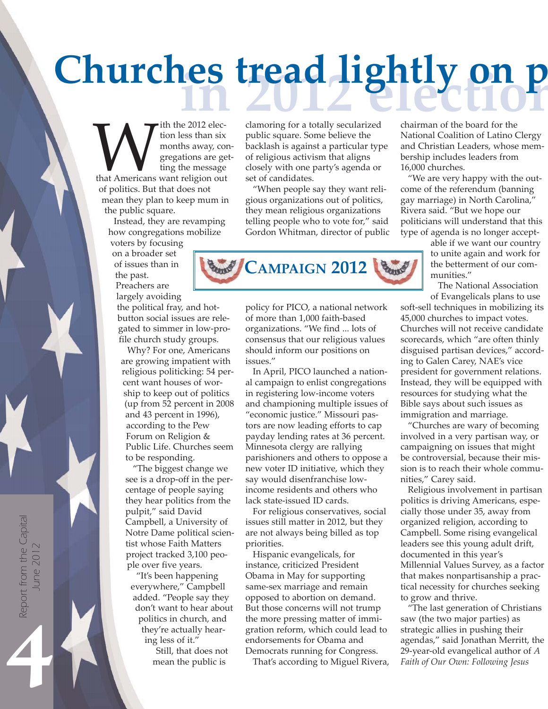# **ice of the California** for a totally secularized chairman of the board for the **Churches tread lightly on p**

With the 2012 election less than six<br>
months away, contribution are get<br>
ting the message<br>
that Americans want religion out<br>
of politics But that does not tion less than six months away, congregations are getting the message of politics. But that does not mean they plan to keep mum in the public square.

Instead, they are revamping how congregations mobilize

voters by focusing on a broader set of issues than in the past. Preachers are

largely avoiding

the political fray, and hotbutton social issues are relegated to simmer in low-profile church study groups.

Why? For one, Americans are growing impatient with religious politicking: 54 percent want houses of worship to keep out of politics (up from 52 percent in 2008 and 43 percent in 1996), according to the Pew Forum on Religion & Public Life. Churches seem to be responding.

"The biggest change we see is a drop-off in the percentage of people saying they hear politics from the pulpit," said David Campbell, a University of Notre Dame political scientist whose Faith Matters project tracked 3,100 people over five years.

"It's been happening everywhere," Campbell added. "People say they don't want to hear about politics in church, and they're actually hearing less of it." Still, that does not

mean the public is

clamoring for a totally secularized public square. Some believe the backlash is against a particular type of religious activism that aligns closely with one party's agenda or set of candidates.

"When people say they want religious organizations out of politics, they mean religious organizations telling people who to vote for," said Gordon Whitman, director of public



policy for PICO, a national network of more than 1,000 faith-based organizations. "We find ... lots of consensus that our religious values should inform our positions on issues."

In April, PICO launched a national campaign to enlist congregations in registering low-income voters and championing multiple issues of "economic justice." Missouri pastors are now leading efforts to cap payday lending rates at 36 percent. Minnesota clergy are rallying parishioners and others to oppose a new voter ID initiative, which they say would disenfranchise lowincome residents and others who lack state-issued ID cards.

For religious conservatives, social issues still matter in 2012, but they are not always being billed as top priorities.

Hispanic evangelicals, for instance, criticized President Obama in May for supporting same-sex marriage and remain opposed to abortion on demand. But those concerns will not trump the more pressing matter of immigration reform, which could lead to endorsements for Obama and Democrats running for Congress.

That's according to Miguel Rivera,

chairman of the board for the National Coalition of Latino Clergy and Christian Leaders, whose membership includes leaders from 16,000 churches.

"We are very happy with the outcome of the referendum (banning gay marriage) in North Carolina," Rivera said. "But we hope our politicians will understand that this type of agenda is no longer accept-

able if we want our country to unite again and work for the betterment of our communities."

The National Association of Evangelicals plans to use

soft-sell techniques in mobilizing its 45,000 churches to impact votes. Churches will not receive candidate scorecards, which "are often thinly disguised partisan devices," according to Galen Carey, NAE's vice president for government relations. Instead, they will be equipped with resources for studying what the Bible says about such issues as immigration and marriage.

"Churches are wary of becoming involved in a very partisan way, or campaigning on issues that might be controversial, because their mission is to reach their whole communities," Carey said.

Religious involvement in partisan politics is driving Americans, especially those under 35, away from organized religion, according to Campbell. Some rising evangelical leaders see this young adult drift, documented in this year's Millennial Values Survey, as a factor that makes nonpartisanship a practical necessity for churches seeking to grow and thrive.

"The last generation of Christians saw (the two major parties) as strategic allies in pushing their agendas," said Jonathan Merritt, the 29-year-old evangelical author of *A Faith of Our Own: Following Jesus*

Report from the Capital June 2012 June 2012

4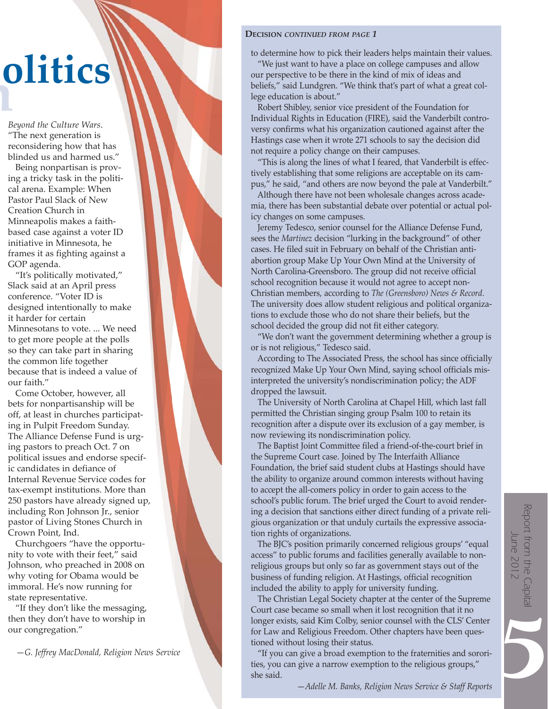# **h**<br>B **politics**

*Beyond the Culture Wars*. "The next generation is reconsidering how that has blinded us and harmed us."

Being nonpartisan is proving a tricky task in the political arena. Example: When Pastor Paul Slack of New Creation Church in Minneapolis makes a faithbased case against a voter ID initiative in Minnesota, he frames it as fighting against a GOP agenda.

"It's politically motivated," Slack said at an April press conference. "Voter ID is designed intentionally to make it harder for certain Minnesotans to vote. ... We need to get more people at the polls so they can take part in sharing the common life together because that is indeed a value of our faith."

Come October, however, all bets for nonpartisanship will be off, at least in churches participating in Pulpit Freedom Sunday. The Alliance Defense Fund is urging pastors to preach Oct. 7 on political issues and endorse specific candidates in defiance of Internal Revenue Service codes for tax-exempt institutions. More than 250 pastors have already signed up, including Ron Johnson Jr., senior pastor of Living Stones Church in Crown Point, Ind.

Churchgoers "have the opportunity to vote with their feet," said Johnson, who preached in 2008 on why voting for Obama would be immoral. He's now running for state representative.

"If they don't like the messaging, then they don't have to worship in our congregation."

—*G. Jeffrey MacDonald, Religion News Service*

### **DECISION** *CONTINUED FROM PAGE 1*

to determine how to pick their leaders helps maintain their values.

"We just want to have a place on college campuses and allow our perspective to be there in the kind of mix of ideas and beliefs," said Lundgren. "We think that's part of what a great college education is about."

Robert Shibley, senior vice president of the Foundation for Individual Rights in Education (FIRE), said the Vanderbilt controversy confirms what his organization cautioned against after the Hastings case when it wrote 271 schools to say the decision did not require a policy change on their campuses.

"This is along the lines of what I feared, that Vanderbilt is effectively establishing that some religions are acceptable on its campus," he said, "and others are now beyond the pale at Vanderbilt."

Although there have not been wholesale changes across academia, there has been substantial debate over potential or actual policy changes on some campuses.

Jeremy Tedesco, senior counsel for the Alliance Defense Fund, sees the *Martinez* decision "lurking in the background" of other cases. He filed suit in February on behalf of the Christian antiabortion group Make Up Your Own Mind at the University of North Carolina-Greensboro. The group did not receive official school recognition because it would not agree to accept non-Christian members, according to *The (Greensboro) News & Record.* The university does allow student religious and political organizations to exclude those who do not share their beliefs, but the school decided the group did not fit either category.

"We don't want the government determining whether a group is or is not religious," Tedesco said.

According to The Associated Press, the school has since officially recognized Make Up Your Own Mind, saying school officials misinterpreted the university's nondiscrimination policy; the ADF dropped the lawsuit.

The University of North Carolina at Chapel Hill, which last fall permitted the Christian singing group Psalm 100 to retain its recognition after a dispute over its exclusion of a gay member, is now reviewing its nondiscrimination policy.

The Baptist Joint Committee filed a friend-of-the-court brief in the Supreme Court case. Joined by The Interfaith Alliance Foundation, the brief said student clubs at Hastings should have the ability to organize around common interests without having to accept the all-comers policy in order to gain access to the school's public forum. The brief urged the Court to avoid rendering a decision that sanctions either direct funding of a private religious organization or that unduly curtails the expressive association rights of organizations.

The BJC's position primarily concerned religious groups' "equal access" to public forums and facilities generally available to nonreligious groups but only so far as government stays out of the business of funding religion. At Hastings, official recognition included the ability to apply for university funding.

5Report from the Capital June 2012

The Christian Legal Society chapter at the center of the Supreme Court case became so small when it lost recognition that it no longer exists, said Kim Colby, senior counsel with the CLS' Center for Law and Religious Freedom. Other chapters have been questioned without losing their status.

"If you can give a broad exemption to the fraternities and sororities, you can give a narrow exemption to the religious groups," she said.

—*Adelle M. Banks, Religion News Service & Staff Reports*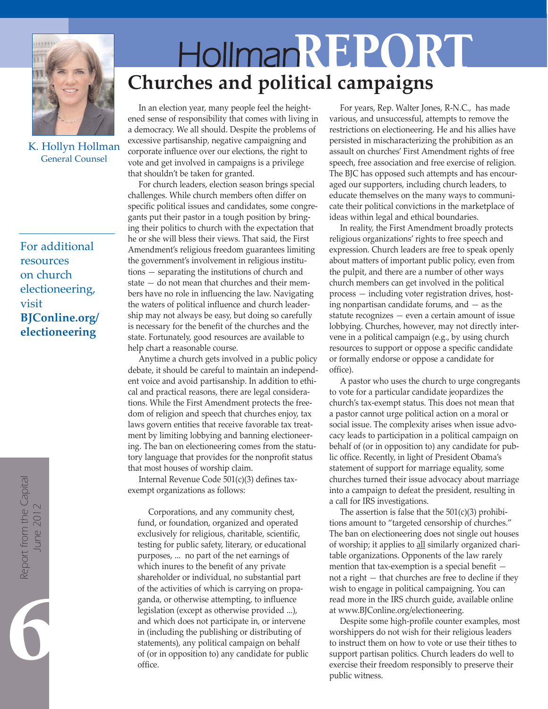

K. Hollyn Hollman General Counsel

For additional resources on church electioneering, visit **BJConline.org/ electioneering**

Report from the Capital<br>June 2012

# HollmanREPORT **Churches and political campaigns**

In an election year, many people feel the heightened sense of responsibility that comes with living in a democracy. We all should. Despite the problems of excessive partisanship, negative campaigning and corporate influence over our elections, the right to vote and get involved in campaigns is a privilege that shouldn't be taken for granted.

For church leaders, election season brings special challenges. While church members often differ on specific political issues and candidates, some congregants put their pastor in a tough position by bringing their politics to church with the expectation that he or she will bless their views. That said, the First Amendment's religious freedom guarantees limiting the government's involvement in religious institutions *—* separating the institutions of church and state *—* do not mean that churches and their members have no role in influencing the law. Navigating the waters of political influence and church leadership may not always be easy, but doing so carefully is necessary for the benefit of the churches and the state. Fortunately, good resources are available to help chart a reasonable course.

Anytime a church gets involved in a public policy debate, it should be careful to maintain an independent voice and avoid partisanship. In addition to ethical and practical reasons, there are legal considerations. While the First Amendment protects the freedom of religion and speech that churches enjoy, tax laws govern entities that receive favorable tax treatment by limiting lobbying and banning electioneering. The ban on electioneering comes from the statutory language that provides for the nonprofit status that most houses of worship claim.

Internal Revenue Code 501(c)(3) defines taxexempt organizations as follows:

Corporations, and any community chest, fund, or foundation, organized and operated exclusively for religious, charitable, scientific, testing for public safety, literary, or educational purposes, ... no part of the net earnings of which inures to the benefit of any private shareholder or individual, no substantial part of the activities of which is carrying on propaganda, or otherwise attempting, to influence legislation (except as otherwise provided ...), and which does not participate in, or intervene in (including the publishing or distributing of statements), any political campaign on behalf of (or in opposition to) any candidate for public office.

For years, Rep. Walter Jones, R-N.C., has made various, and unsuccessful, attempts to remove the restrictions on electioneering. He and his allies have persisted in mischaracterizing the prohibition as an assault on churches' First Amendment rights of free speech, free association and free exercise of religion. The BJC has opposed such attempts and has encouraged our supporters, including church leaders, to educate themselves on the many ways to communicate their political convictions in the marketplace of ideas within legal and ethical boundaries.

In reality, the First Amendment broadly protects religious organizations' rights to free speech and expression. Church leaders are free to speak openly about matters of important public policy, even from the pulpit, and there are a number of other ways church members can get involved in the political process *—* including voter registration drives, hosting nonpartisan candidate forums, and *—* as the statute recognizes *—* even a certain amount of issue lobbying. Churches, however, may not directly intervene in a political campaign (e.g., by using church resources to support or oppose a specific candidate or formally endorse or oppose a candidate for office).

A pastor who uses the church to urge congregants to vote for a particular candidate jeopardizes the church's tax-exempt status. This does not mean that a pastor cannot urge political action on a moral or social issue. The complexity arises when issue advocacy leads to participation in a political campaign on behalf of (or in opposition to) any candidate for public office. Recently, in light of President Obama's statement of support for marriage equality, some churches turned their issue advocacy about marriage into a campaign to defeat the president, resulting in a call for IRS investigations.

The assertion is false that the  $501(c)(3)$  prohibitions amount to "targeted censorship of churches." The ban on electioneering does not single out houses of worship; it applies to all similarly organized charitable organizations. Opponents of the law rarely mention that tax-exemption is a special benefit  not a right *—* that churches are free to decline if they wish to engage in political campaigning. You can read more in the IRS church guide, available online at www.BJConline.org/electioneering.

Despite some high-profile counter examples, most worshippers do not wish for their religious leaders to instruct them on how to vote or use their tithes to support partisan politics. Church leaders do well to exercise their freedom responsibly to preserve their public witness.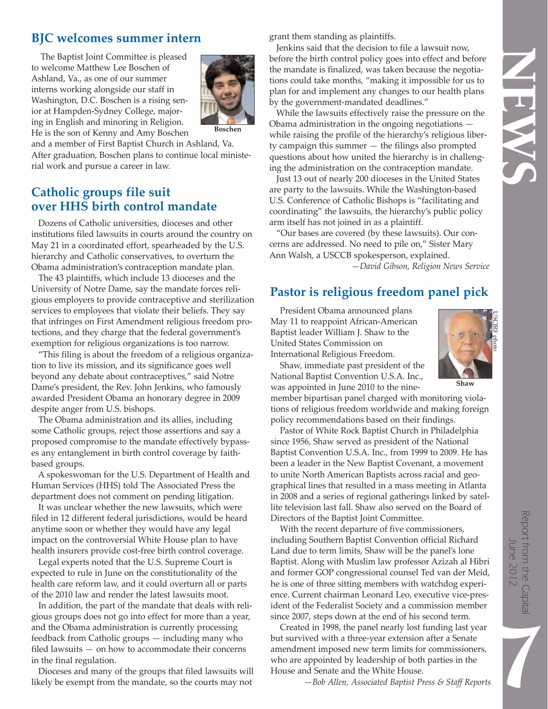# ENST

# **BJC welcomes summer intern**

The Baptist Joint Committee is pleased to welcome Matthew Lee Boschen of Ashland, Va., as one of our summer interns working alongside our staff in Washington, D.C. Boschen is a rising senior at Hampden-Sydney College, majoring in English and minoring in Religion. He is the son of Kenny and Amy Boschen



and a member of First Baptist Church in Ashland, Va. After graduation, Boschen plans to continue local ministerial work and pursue a career in law.

### **Catholic groups file suit over HHS birth control mandate**

Dozens of Catholic universities, dioceses and other institutions filed lawsuits in courts around the country on May 21 in a coordinated effort, spearheaded by the U.S. hierarchy and Catholic conservatives, to overturn the Obama administration's contraception mandate plan.

The 43 plaintiffs, which include 13 dioceses and the University of Notre Dame, say the mandate forces religious employers to provide contraceptive and sterilization services to employees that violate their beliefs. They say that infringes on First Amendment religious freedom protections, and they charge that the federal government's exemption for religious organizations is too narrow.

"This filing is about the freedom of a religious organization to live its mission, and its significance goes well beyond any debate about contraceptives," said Notre Dame's president, the Rev. John Jenkins, who famously awarded President Obama an honorary degree in 2009 despite anger from U.S. bishops.

The Obama administration and its allies, including some Catholic groups, reject those assertions and say a proposed compromise to the mandate effectively bypasses any entanglement in birth control coverage by faithbased groups.

A spokeswoman for the U.S. Department of Health and Human Services (HHS) told The Associated Press the department does not comment on pending litigation.

It was unclear whether the new lawsuits, which were filed in 12 different federal jurisdictions, would be heard anytime soon or whether they would have any legal impact on the controversial White House plan to have health insurers provide cost-free birth control coverage.

Legal experts noted that the U.S. Supreme Court is expected to rule in June on the constitutionality of the health care reform law, and it could overturn all or parts of the 2010 law and render the latest lawsuits moot.

In addition, the part of the mandate that deals with religious groups does not go into effect for more than a year, and the Obama administration is currently processing feedback from Catholic groups *—* including many who filed lawsuits *—* on how to accommodate their concerns in the final regulation.

Dioceses and many of the groups that filed lawsuits will likely be exempt from the mandate, so the courts may not

grant them standing as plaintiffs.

Jenkins said that the decision to file a lawsuit now, before the birth control policy goes into effect and before the mandate is finalized, was taken because the negotiations could take months, "making it impossible for us to plan for and implement any changes to our health plans by the government-mandated deadlines."

While the lawsuits effectively raise the pressure on the Obama administration in the ongoing negotiations  while raising the profile of the hierarchy's religious liberty campaign this summer *—* the filings also prompted questions about how united the hierarchy is in challenging the administration on the contraception mandate.

Just 13 out of nearly 200 dioceses in the United States are party to the lawsuits. While the Washington-based U.S. Conference of Catholic Bishops is "facilitating and coordinating" the lawsuits, the hierarchy's public policy arm itself has not joined in as a plaintiff.

"Our bases are covered (by these lawsuits). Our concerns are addressed. No need to pile on," Sister Mary Ann Walsh, a USCCB spokesperson, explained.

*—David Gibson, Religion News Service*

# **Pastor is religious freedom panel pick**

President Obama announced plans May 11 to reappoint African-American Baptist leader William J. Shaw to the United States Commission on International Religious Freedom.

Shaw, immediate past president of the National Baptist Convention U.S.A. Inc., was appointed in June 2010 to the nine-

member bipartisan panel charged with monitoring violations of religious freedom worldwide and making foreign policy recommendations based on their findings.

Pastor of White Rock Baptist Church in Philadelphia since 1956, Shaw served as president of the National Baptist Convention U.S.A. Inc., from 1999 to 2009. He has been a leader in the New Baptist Covenant, a movement to unite North American Baptists across racial and geographical lines that resulted in a mass meeting in Atlanta in 2008 and a series of regional gatherings linked by satellite television last fall. Shaw also served on the Board of Directors of the Baptist Joint Committee.

With the recent departure of five commissioners, including Southern Baptist Convention official Richard Land due to term limits, Shaw will be the panel's lone Baptist. Along with Muslim law professor Azizah al Hibri and former GOP congressional counsel Ted van der Meid, he is one of three sitting members with watchdog experience. Current chairman Leonard Leo, executive vice-president of the Federalist Society and a commission member since 2007, steps down at the end of his second term.

Created in 1998, the panel nearly lost funding last year but survived with a three-year extension after a Senate amendment imposed new term limits for commissioners, who are appointed by leadership of both parties in the House and Senate and the White House.

*—Bob Allen, Associated Baptist Press & Staff Reports*



**Shaw**

7